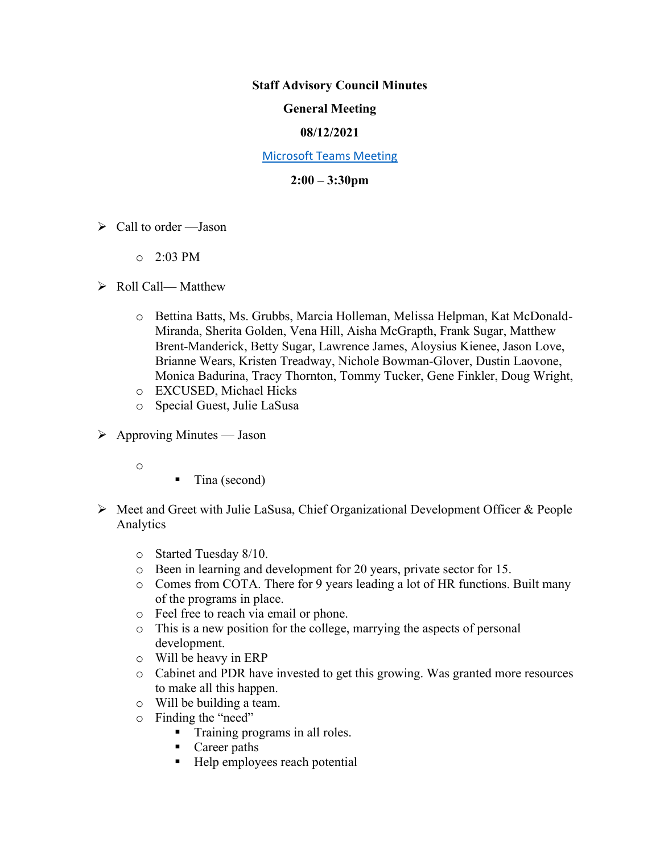#### **Staff Advisory Council Minutes**

### **General Meeting**

### **08/12/2021**

#### [Microsoft Teams Meeting](https://nam05.safelinks.protection.outlook.com/ap/t-59584e83/?url=https%3A%2F%2Fteams.microsoft.com%2Fl%2Fmeetup-join%2F19%253ameeting_MzkxMmQzZTYtNGNiMi00YTJjLWI3MTMtOTlhMmNmOTE4Zjhj%2540thread.v2%2F0%3Fcontext%3D%257b%2522Tid%2522%253a%252260a9d377-c827-41a1-bbf0-1aad34db4c89%2522%252c%2522Oid%2522%253a%2522d493b17b-9cb3-43b8-b2df-d22f32aad747%2522%257d&data=02%7C01%7Cakienee1%40cscc.edu%7Cd9d721b99f4d408c215208d7647bc8db%7C60a9d377c82741a1bbf01aad34db4c89%7C0%7C0%7C637088355127916457&sdata=hlB7BeFFj4%2Fu5SHTbph%2BpYbfXevGFZ5zd4DxSsQlyzY%3D&reserved=0)

### **2:00 – 3:30pm**

- $\triangleright$  Call to order —Jason
	- $O = 2:03$  PM

### ➢ Roll Call— Matthew

- o Bettina Batts, Ms. Grubbs, Marcia Holleman, Melissa Helpman, Kat McDonald-Miranda, Sherita Golden, Vena Hill, Aisha McGrapth, Frank Sugar, Matthew Brent-Manderick, Betty Sugar, Lawrence James, Aloysius Kienee, Jason Love, Brianne Wears, Kristen Treadway, Nichole Bowman-Glover, Dustin Laovone, Monica Badurina, Tracy Thornton, Tommy Tucker, Gene Finkler, Doug Wright,
- o EXCUSED, Michael Hicks
- o Special Guest, Julie LaSusa
- $\triangleright$  Approving Minutes Jason
	- o
- Tina (second)
- ➢ Meet and Greet with Julie LaSusa, Chief Organizational Development Officer & People Analytics
	- o Started Tuesday 8/10.
	- o Been in learning and development for 20 years, private sector for 15.
	- o Comes from COTA. There for 9 years leading a lot of HR functions. Built many of the programs in place.
	- o Feel free to reach via email or phone.
	- o This is a new position for the college, marrying the aspects of personal development.
	- o Will be heavy in ERP
	- o Cabinet and PDR have invested to get this growing. Was granted more resources to make all this happen.
	- o Will be building a team.
	- o Finding the "need"
		- **•** Training programs in all roles.
		- Career paths
		- Help employees reach potential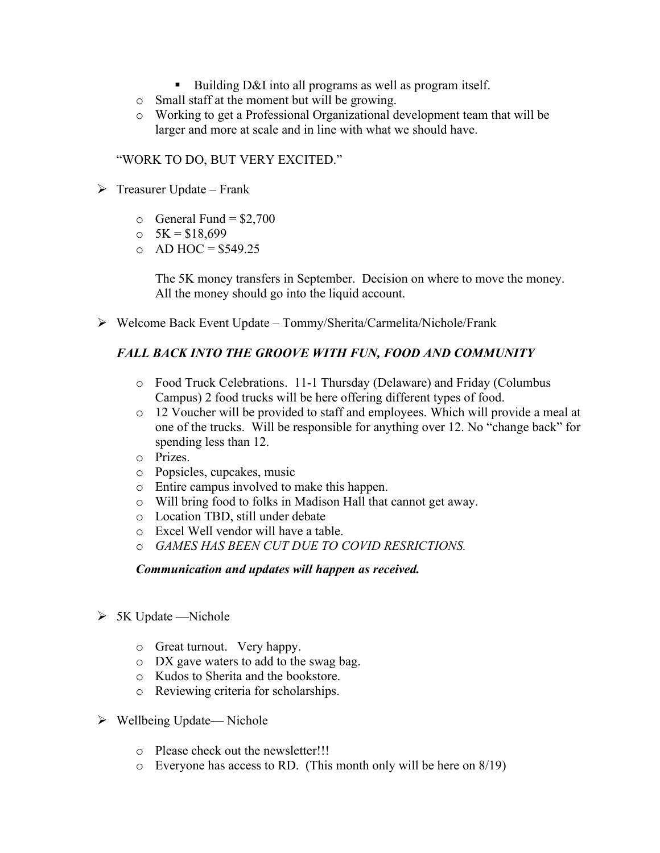- Building D&I into all programs as well as program itself.
- o Small staff at the moment but will be growing.
- o Working to get a Professional Organizational development team that will be larger and more at scale and in line with what we should have.

"WORK TO DO, BUT VERY EXCITED."

- $\triangleright$  Treasurer Update Frank
	- $\circ$  General Fund = \$2,700
	- $\text{o} \quad 5\text{K} = $18,699$
	- $O$  AD HOC = \$549.25

The 5K money transfers in September. Decision on where to move the money. All the money should go into the liquid account.

➢ Welcome Back Event Update – Tommy/Sherita/Carmelita/Nichole/Frank

## *FALL BACK INTO THE GROOVE WITH FUN, FOOD AND COMMUNITY*

- o Food Truck Celebrations. 11-1 Thursday (Delaware) and Friday (Columbus Campus) 2 food trucks will be here offering different types of food.
- o 12 Voucher will be provided to staff and employees. Which will provide a meal at one of the trucks. Will be responsible for anything over 12. No "change back" for spending less than 12.
- o Prizes.
- o Popsicles, cupcakes, music
- o Entire campus involved to make this happen.
- o Will bring food to folks in Madison Hall that cannot get away.
- o Location TBD, still under debate
- o Excel Well vendor will have a table.
- o *GAMES HAS BEEN CUT DUE TO COVID RESRICTIONS.*

## *Communication and updates will happen as received.*

- $\triangleright$  5K Update —Nichole
	- o Great turnout. Very happy.
	- o DX gave waters to add to the swag bag.
	- o Kudos to Sherita and the bookstore.
	- o Reviewing criteria for scholarships.
- ➢ Wellbeing Update— Nichole
	- o Please check out the newsletter!!!
	- $\circ$  Everyone has access to RD. (This month only will be here on 8/19)